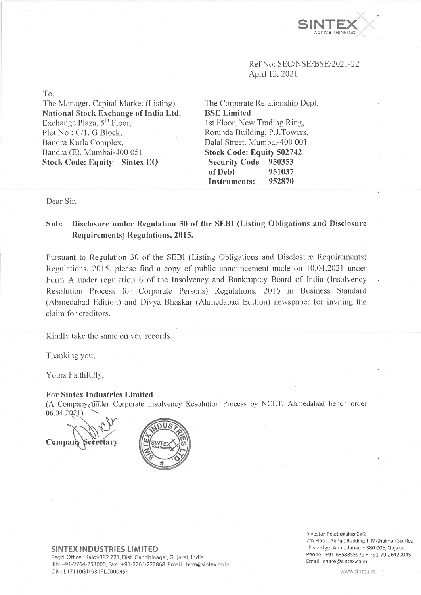

Ref No: SEC/NSE/BSE/2021-22 April 12, 2021

To,

The Manager, Capital Market (Listing) **National Stock Exchange of India Ltd.** Exchange Plaza,  $5<sup>th</sup>$  Floor, Plot No : C/1, G Block, Bandra Kurla Complex, Bandra (E), Mumbai-400 051 **Stock Code: Equity - Sintex EQ**

The Corporate Relationship Dept. **BSE Limited** 1st Floor, New Trading Ring, Rotunda Building, P.J.Towers, Dalai Street, Mumbai-400 001 **Stock Code: Equity 502742 Security Code 950353 of Debt 951037 Instruments: 952870**

Dear Sir,

## **Sub: Disclosure under Regulation 30 of the SEBI (Listing Obligations and Disclosure Requirements) Regulations, 2015.**

Pursuant to Regulation 30 of the SEBI (Listing Obligations and Disclosure Requirements) Regulations, 2015, please find a copy of public announcement made on 10.04.2021 under Form A under regulation 6 of the Insolvency and Bankruptcy Board of India (Insolvency Resolution Process for Corporate Persons) Regulations, 2016 in Business Standard (Ahmedabad Edition) and Divya Bhaskar (Ahmedabad Edition) newspaper for inviting the claim for creditors.

Kindly take the same on you records.

Thanking you,

Yours Faithfully,

## **For Sintex Industries Limited**

(A Company (tinder Corporate Insolvency Resolution Process by NCLT, Ahmedabad bench order 06.04.202J)

**Com pa** ecpetary



**SINTEX INDUSTRIES LIMITED**

Regd. Office : Kalol-382 721, Dist. Gandhinagar, Gujarat, India. Ph:+91-2764-253000, Fax : +91-2764-222868 Email: [bvm@sintex.co.in](mailto:bvm@sintex.co.in) CIN : LI 7110GJ1931PLC000454

Investor Relationship Cell: 7th Floor, Abhijit Buiiding-I, Mithakhali Six Roa Ellisbridge, Ahmedabad - 380 006, Gujarat. Phone : +91-6358855979 • +91-79-26420045 Email : [share@sintex.co.in](mailto:share@sintex.co.in)

[www.sintex.in](http://www.sintex.in)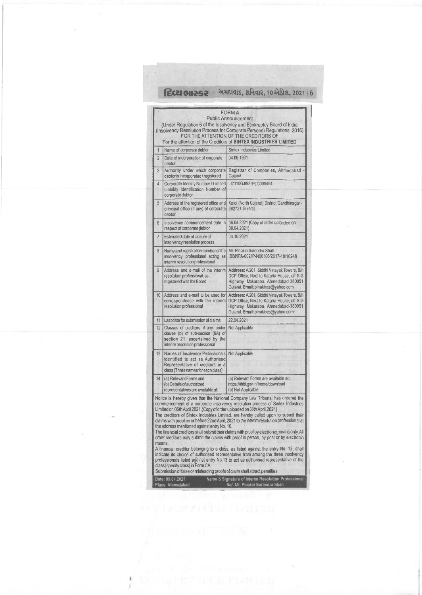**fece onese** by the test of the test of the test of the best of the test of the test of the test of the test of the test of the test of the test of the test of the test of the test of the test of the test of the test of th

|                |                                                                                                                                                               | <b>FORM A</b><br><b>Public Announcement</b>                                                                                                                                                                                                                                                                                                                                                                                                                                                                                                                                                                                                                                                                                                                                                                 |
|----------------|---------------------------------------------------------------------------------------------------------------------------------------------------------------|-------------------------------------------------------------------------------------------------------------------------------------------------------------------------------------------------------------------------------------------------------------------------------------------------------------------------------------------------------------------------------------------------------------------------------------------------------------------------------------------------------------------------------------------------------------------------------------------------------------------------------------------------------------------------------------------------------------------------------------------------------------------------------------------------------------|
|                |                                                                                                                                                               | (Under Regulation 6 of the Insolvency and Bankruptcy Board of India<br>(insolvency Resolution Process for Corporate Persons) Regulations, 2016)<br>FOR THE ATTENTION OF THE CREDITORS OF<br>For the attention of the Creditors of SINTEX INDUSTRIES LIMITED                                                                                                                                                                                                                                                                                                                                                                                                                                                                                                                                                 |
| 1              | Name of corporate debtor                                                                                                                                      | Sintex Industries Limited                                                                                                                                                                                                                                                                                                                                                                                                                                                                                                                                                                                                                                                                                                                                                                                   |
| $\overline{c}$ | Date of incorporation of corporate<br>debtor                                                                                                                  | 04.06.1931                                                                                                                                                                                                                                                                                                                                                                                                                                                                                                                                                                                                                                                                                                                                                                                                  |
| 3              | Authority under which corporate<br>debtor is incorporated / registered                                                                                        | Registrar of Companies, Ahmedabad -<br>Gujarat                                                                                                                                                                                                                                                                                                                                                                                                                                                                                                                                                                                                                                                                                                                                                              |
| 4              | Corporate Identity Number / Limited<br>Liability Identification Number of<br>corporate debtor                                                                 | LI7110GJI931PLC000454                                                                                                                                                                                                                                                                                                                                                                                                                                                                                                                                                                                                                                                                                                                                                                                       |
| 5              | Address of the registered office and<br>principal office (if any) of corporate)<br>deblor                                                                     | Kalol (North Gujarat) District Gandhinagar -<br>382721 Gujarat.                                                                                                                                                                                                                                                                                                                                                                                                                                                                                                                                                                                                                                                                                                                                             |
| 6              | Insolvency commencement date in<br>respect of corporate debtor                                                                                                | 06.04.2021 (Copy of order uploaded on<br>08.04.2021)                                                                                                                                                                                                                                                                                                                                                                                                                                                                                                                                                                                                                                                                                                                                                        |
| 7              | Estimated date of closure of<br>insolvency resolution process                                                                                                 | 04.10.2021                                                                                                                                                                                                                                                                                                                                                                                                                                                                                                                                                                                                                                                                                                                                                                                                  |
| 8              | Name and registration number of the<br>insolvency professional acting as<br>interim resolution professional                                                   | Mr. Pinakin Surendra Shah<br>IBBI/IPA-002/IP-N00106/2017-18/10248                                                                                                                                                                                                                                                                                                                                                                                                                                                                                                                                                                                                                                                                                                                                           |
| 9              | Address and e-mail of the interim<br>resolution professional, as<br>registered with the Board                                                                 | Address: A/201, Siddhi Vinayak Towers, B/h.<br>DCP Office, Next to Kataria House, off S.G.<br>Highway, Makaraba, Ahmedabad-380051,<br>Gujarat. Email: pinakincs@yahoo.com                                                                                                                                                                                                                                                                                                                                                                                                                                                                                                                                                                                                                                   |
| 10             | Address and e-mail to be used for<br>correspondence with the interim<br>resolution professional                                                               | Address: A/201, Siddhi Vinayak Towers, B/h.<br>DCP Office, Next to Kataria House, off S.G.<br>Highway, Makaraba. Ahmedabad-380051,<br>Gujarat. Email: pinakincs@yahoo.com                                                                                                                                                                                                                                                                                                                                                                                                                                                                                                                                                                                                                                   |
| 11             | Last date for submission of claims                                                                                                                            | 22.04.2021                                                                                                                                                                                                                                                                                                                                                                                                                                                                                                                                                                                                                                                                                                                                                                                                  |
| 12             | Classes of creditors, if any, under<br>clause (b) of sub-section (6A) of<br>section 21, ascertained by the<br>interim resolution professional                 | Not Applicable                                                                                                                                                                                                                                                                                                                                                                                                                                                                                                                                                                                                                                                                                                                                                                                              |
| 13             | Names of Insolvency Professionals Not Applicable<br>identified to act as Authorised<br>Representative of creditors in a<br>class (Three names for each class) |                                                                                                                                                                                                                                                                                                                                                                                                                                                                                                                                                                                                                                                                                                                                                                                                             |
| 14             | (a) Relevant Forms and<br>(b) Details of authorized<br>representatives are available at:                                                                      | (a) Relevant Forms are available at:<br>https://ibbi.gov.in/home/download<br>(b) Not Applicable                                                                                                                                                                                                                                                                                                                                                                                                                                                                                                                                                                                                                                                                                                             |
| means.         | Limited on 06th April 2021. (Copy of order uploaded on 08th April, 2021)<br>the address mentioned against entry No. 10.<br>class [specify class] in Form CA.  | Notice is hereby given that the National Company Law Tribunal has ordered the<br>commencement of a corporate insolvency resolution process of Sintex Industries<br>The creditors of Sintex Industries Limited, are hereby called upon to submit their<br>claims with proof on or before 22nd April, 2021 to the interim resolution professional at<br>The financial creditors shall submit their claims with proof by electronic means only. All<br>other creditors may submit the claims with proof in person, by post or by electronic<br>A financial creditor belonging to a class, as listed against the entry No. 12, shall<br>indicate its choice of authorised representative from among the three insolvency<br>professionals listed against entry No.13 to act as authorised representative of the |
|                | Submission of false or misleading proofs of claim shall attract penalties.                                                                                    |                                                                                                                                                                                                                                                                                                                                                                                                                                                                                                                                                                                                                                                                                                                                                                                                             |

Date: 09.04.2021 Name & Signature of Interim Resolution Professional

Place: Ahmedabad Sd/- Mr. Pinakin Surendra Shah

 $\ddot{\ast}$